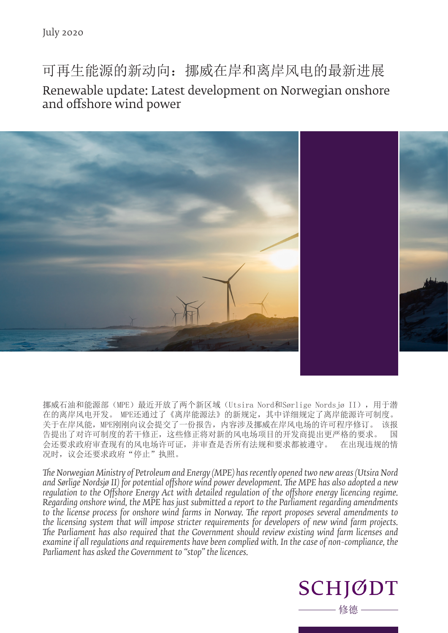可再生能源的新动向:挪威在岸和离岸风电的最新进展 Renewable update: Latest development on Norwegian onshore and offshore wind power



挪威石油和能源部(MPE)最近开放了两个新区域(Utsira Nord和Sørlige Nordsjø II), 用于潜 在的离岸风电开发。 MPE还通过了《离岸能源法》的新规定,其中详细规定了离岸能源许可制度。 关于在岸风能, MPE刚刚向议会提交了一份报告, 内容涉及挪威在岸风电场的许可程序修订。 该报 告提出了对许可制度的若干修正,这些修正将对新的风电场项目的开发商提出更严格的要求。 会还要求政府审查现有的风电场许可证,并审查是否所有法规和要求都被遵守。 在出现违规的情 况时, 议会还要求政府"停止"执照。

*The Norwegian Ministry of Petroleum and Energy (MPE) has recently opened two new areas (Utsira Nord and Sørlige Nordsjø II) for potential offshore wind power development. The MPE has also adopted a new regulation to the Offshore Energy Act with detailed regulation of the offshore energy licencing regime. Regarding onshore wind, the MPE has just submitted a report to the Parliament regarding amendments to the license process for onshore wind farms in Norway. The report proposes several amendments to the licensing system that will impose stricter requirements for developers of new wind farm projects. The Parliament has also required that the Government should review existing wind farm licenses and examine if all regulations and requirements have been complied with. In the case of non-compliance, the Parliament has asked the Government to "stop" the licences.* 

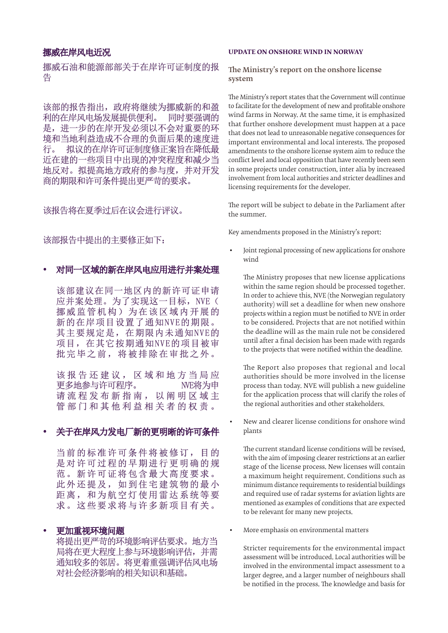# 挪威石油和能源部部关于在岸许可证制度的报 告

该部的报告指出,政府将继续为挪威新的和盈 利的在岸风电场发展提供便利。 同时要强调的 是,进一步的在岸开发必须以不会对重要的环 境和当地利益造成不合理的负面后果的速度进 行。 拟议的在岸许可证制度修正案旨在降低最 近在建的一些项目中出现的冲突程度和减少当 地反对。拟提高地方政府的参与度,并对开发 商的期限和许可条件提出更严苛的要求。

该报告将在夏季过后在议会进行评议。

## 该部报告中提出的主要修正如下:

• 对同一区域的新在岸风电应用进行并案处理

该部建议在同一地区内的新许可证申请 应并案处理。为了实现这一目标,NVE( 挪威监管机构)为在该区域内开展的 新的在岸项目设置了通知NVE的期限。 其主要规定是,在期限内未通知NVE的 项目,在其它按期通知NVE的项目被审 批完毕之前,将被排除在审批之外。

该报告还建议,区域和地方当局应 更多地参与许可程序。 NVE将为申 请流程发布新指南,以阐明区域主 管部门和其他利益相关者的权责。

• 关于在岸风力发电厂新的更明晰的许可条件

当前的标准许可条件将被修订,目的 是对许可过程的早期进行更明确的规 范。新许可证将包含最大高度要求。 此外还提及,如到住宅建筑物的最小 距离,和为航空灯使用雷达系统等要 求。这些要求将与许多新项目有关。

• 更加重视环境问题 将提出更严苛的环境影响评估要求。地方当 局将在更大程度上参与环境影响评估,并需 通知较多的邻居。将更着重强调评估风电场 对社会经济影响的相关知识和基础。

#### **UPDATE ON ONSHORE WIND IN NORWAY**

The Ministry's report on the onshore license system

The Ministry's report states that the Government will continue to facilitate for the development of new and profitable onshore wind farms in Norway. At the same time, it is emphasized that further onshore development must happen at a pace that does not lead to unreasonable negative consequences for important environmental and local interests. The proposed amendments to the onshore license system aim to reduce the conflict level and local opposition that have recently been seen in some projects under construction, inter alia by increased involvement from local authorities and stricter deadlines and licensing requirements for the developer.

The report will be subject to debate in the Parliament after the summer.

Key amendments proposed in the Ministry's report:

• Joint regional processing of new applications for onshore wind

The Ministry proposes that new license applications within the same region should be processed together. In order to achieve this, NVE (the Norwegian regulatory authority) will set a deadline for when new onshore projects within a region must be notified to NVE in order to be considered. Projects that are not notified within the deadline will as the main rule not be considered until after a final decision has been made with regards to the projects that were notified within the deadline.

The Report also proposes that regional and local authorities should be more involved in the license process than today. NVE will publish a new guideline for the application process that will clarify the roles of the regional authorities and other stakeholders.

• New and clearer license conditions for onshore wind plants

The current standard license conditions will be revised, with the aim of imposing clearer restrictions at an earlier stage of the license process. New licenses will contain a maximum height requirement. Conditions such as minimum distance requirements to residential buildings and required use of radar systems for aviation lights are mentioned as examples of conditions that are expected to be relevant for many new projects.

• More emphasis on environmental matters

Stricter requirements for the environmental impact assessment will be introduced. Local authorities will be involved in the environmental impact assessment to a larger degree, and a larger number of neighbours shall be notified in the process. The knowledge and basis for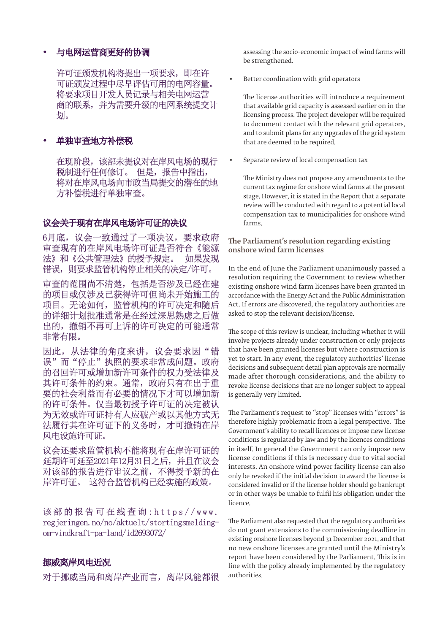## • 与电网运营商更好的协调

许可证颁发机构将提出一项要求,即在许 可证颁发过程中尽早评估可用的电网容量。 将要求项目开发人员记录与相关电网运营 商的联系,并为需要升级的电网系统提交计 划。

• 单独审查地方补偿税

在现阶段,该部未提议对在岸风电场的现行 税制进行任何修订。 但是,报告中指出, 将对在岸风电场向市政当局提交的潜在的地 方补偿税进行单独审查。

## 议会关于现有在岸风电场许可证的决议

6月底,议会一致通过了一项决议,要求政府 审查现有的在岸风电场许可证是否符合《能源 法》和《公共管理法》的授予规定。 如果发现 错误,则要求监管机构停止相关的决定/许可。

审查的范围尚不清楚,包括是否涉及已经在建 的项目或仅涉及已获得许可但尚未开始施工的 项目。无论如何,监管机构的许可决定和随后 的详细计划批准通常是在经过深思熟虑之后做 出的,撤销不再可上诉的许可决定的可能通常 非常有限。

因此,从法律的角度来讲,议会要求因"错 误"而"停止"执照的要求非常成问题。政府 的召回许可或增加新许可条件的权力受法律及 其许可条件的约束。通常,政府只有在出于重 要的社会利益而有必要的情况下才可以增加新 的许可条件。仅当最初授予许可证的决定被认 为无效或许可证持有人应破产或以其他方式无 法履行其在许可证下的义务时,才可撤销在岸 风电设施许可证。

议会还要求监管机构不能将现有在岸许可证的 延期许可延至2021年12月31日之后,并且在议会 对该部的报告进行审议之前,不得授予新的在 岸许可证。 这符合监管机构已经实施的政策。

该部的报告可在线查询:https//www. regjeringen.no/no/aktuelt/stortingsmeldingom-vindkraft-pa-land/id2693072/

### 挪威离岸风电近况

对于挪威当局和离岸产业而言,离岸风能都很

assessing the socio-economic impact of wind farms will be strengthened.

• Better coordination with grid operators

The license authorities will introduce a requirement that available grid capacity is assessed earlier on in the licensing process. The project developer will be required to document contact with the relevant grid operators, and to submit plans for any upgrades of the grid system that are deemed to be required.

• Separate review of local compensation tax

The Ministry does not propose any amendments to the current tax regime for onshore wind farms at the present stage. However, it is stated in the Report that a separate review will be conducted with regard to a potential local compensation tax to municipalities for onshore wind farms.

#### The Parliament's resolution regarding existing onshore wind farm licenses

In the end of June the Parliament unanimously passed a resolution requiring the Government to review whether existing onshore wind farm licenses have been granted in accordance with the Energy Act and the Public Administration Act. If errors are discovered, the regulatory authorities are asked to stop the relevant decision/license.

The scope of this review is unclear, including whether it will involve projects already under construction or only projects that have been granted licenses but where construction is yet to start. In any event, the regulatory authorities' license decisions and subsequent detail plan approvals are normally made after thorough considerations, and the ability to revoke license decisions that are no longer subject to appeal is generally very limited.

The Parliament's request to "stop" licenses with "errors" is therefore highly problematic from a legal perspective. The Government's ability to recall licences or impose new license conditions is regulated by law and by the licences conditions in itself. In general the Government can only impose new license conditions if this is necessary due to vital social interests. An onshore wind power facility license can also only be revoked if the initial decision to award the license is considered invalid or if the license holder should go bankrupt or in other ways be unable to fulfil his obligation under the licence.

The Parliament also requested that the regulatory authorities do not grant extensions to the commissioning deadline in existing onshore licenses beyond 31 December 2021, and that no new onshore licenses are granted until the Ministry's report have been considered by the Parliament. This is in line with the policy already implemented by the regulatory authorities.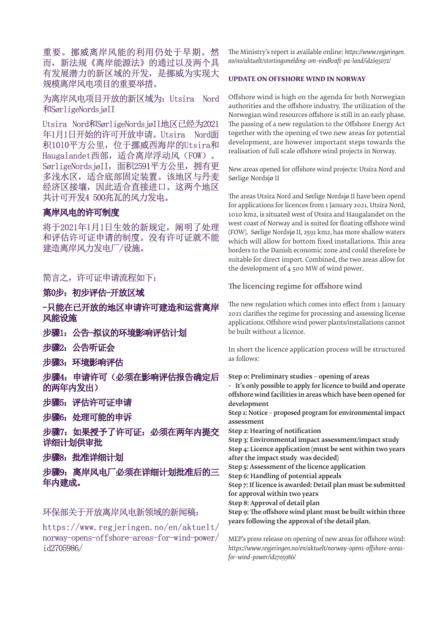重要。挪威离岸风能的利用仍处于早期。然 而,新法规《离岸能源法》的通过以及两个具 有发展潜力的新区域的开发,是挪威为实现大 规模离岸风电项目的重要举措。

为离岸风电项目开放的新区域为:Utsira Nord 和SørligeNordsjøII

Utsira Nord和SørligeNordsjøII地区已经为2021 年1月1日开始的许可开放申请。Utsira Nord面 积1010平方公里,位于挪威西海岸的Utsira和 Haugalandet西部, 适合离岸浮动风 (FOW)。 SørligeNordsjøII, 面积2591平方公里, 拥有更 多浅水区,适合底部固定装置。该地区与丹麦 经济区接壤,因此适合直接进口。这两个地区 共计可开发4 500兆瓦的风力发电。

## 离岸风电的许可制度

将于2021年1月1日生效的新规定,阐明了处理 和评估许可证申请的制度。没有许可证就不能 建造离岸风力发电厂/设施。

简言之,许可证申请流程如下:

第0步:初步评估-开放区域

-只能在已开放的地区申请许可建造和运营离岸 风能设施

步骤1: 公告-拟议的环境影响评估计划

步骤2:公告听证会

步骤3:环境影响评估

步骤4:申请许可(必须在影响评估报告确定后 的两年内发出)

步骤5: 评估许可证申请

步骤6:处理可能的申诉

步骤7:如果授予了许可证:必须在两年内提交 详细计划供审批

步骤8:批准详细计划

步骤9:离岸风电厂必须在详细计划批准后的三 年内建成。

### 环保部关于开放离岸风电新领域的新闻稿:

https://www.regjeringen.no/en/aktuelt/ norway-opens-offshore-areas-for-wind-power/ id2705986/

The Ministry's report is available online: *https://www.regjeringen. no/no/aktuelt/stortingsmelding-om-vindkraft-pa-land/id2693072/* 

### **UPDATE ON OFFSHORE WIND IN NORWAY**

Offshore wind is high on the agenda for both Norwegian authorities and the offshore industry. The utilization of the Norwegian wind resources offshore is still in an early phase. The passing of a new regulation to the Offshore Energy Act together with the opening of two new areas for potential development, are however important steps towards the realisation of full scale offshore wind projects in Norway.

New areas opened for offshore wind projects: Utsira Nord and Sørlige Nordsjø II

The areas Utsira Nord and Sørlige Nordsjø II have been opend for applications for licences from 1 January 2021. Utsira Nord, 1010 km2, is situated west of Utsira and Haugalandet on the west coast of Norway and is suited for floating offshore wind (FOW). Sørlige Nordsjø II, 2591 km2, has more shallow waters which will allow for bottom fixed installations. This area borders to the Danish economic zone and could therefore be suitable for direct import. Combined, the two areas allow for the development of 4 500 MW of wind power.

The licencing regime for offshore wind

The new regulation which comes into effect from 1 January 2021 clarifies the regime for processing and assessing license applications. Offshore wind power plants/installations cannot be built without a licence.

In short the licence application process will be structured as follows:

Step 0: Preliminary studies – opening of areas

- It's only possible to apply for licence to build and operate offshore wind facilities in areas which have been opened for development

Step 1: Notice – proposed program for environmental impact assessment

Step 2: Hearing of notification

Step 3: Environmental impact assessment/impact study Step 4: Licence application (must be sent within two years after the impact study was decided)

Step 5: Assessment of the licence application

Step 6: Handling of potential appeals

Step 7: If licence is awarded: Detail plan must be submitted for approval within two years

Step 8: Approval of detail plan

Step 9: The offshore wind plant must be built within three years following the approval of the detail plan.

MEP's press release on opening of new areas for offshore wind: *https://www.regjeringen.no/en/aktuelt/norway-opens-offshore-areasfor-wind-power/id2705986/*